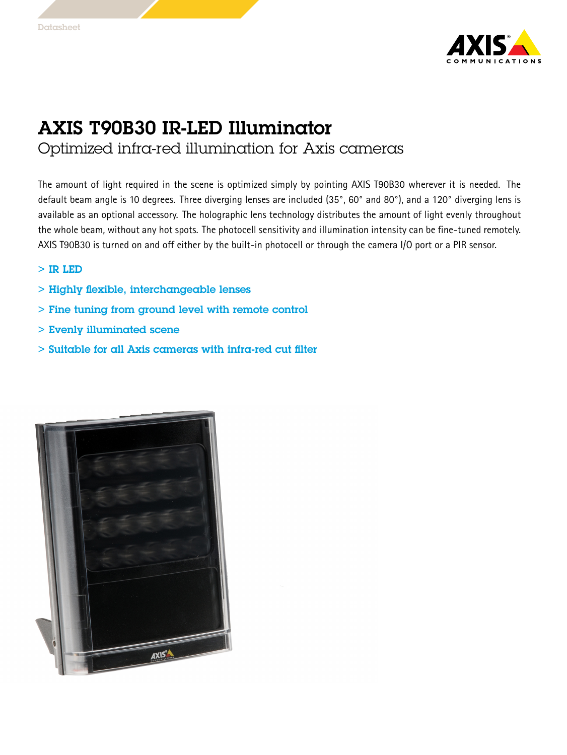

## AXIS T90B30 IR-LED Illuminator

Optimized infra-red illumination for Axis cameras

The amount of light required in the scene is optimized simply by pointing AXIS T90B30 wherever it is needed. The default beam angle is <sup>10</sup> degrees. Three diverging lenses are included (35°, 60° and 80°), and <sup>a</sup> 120° diverging lens is available as an optional accessory. The holographic lens technology distributes the amount of light evenly throughout the whole beam, without any hot spots. The photocell sensitivity and illumination intensity can be fine-tuned remotely. AXIS T90B30 is turned on and off either by the built-in photocell or through the camera I/O port or <sup>a</sup> PIR sensor.

- > IR LED
- > Highly flexible, interchangeable lenses
- > Fine tuning from ground level with remote control
- > Evenly illuminated scene
- $>$  Suitable for all Axis cameras with infra-red cut filter